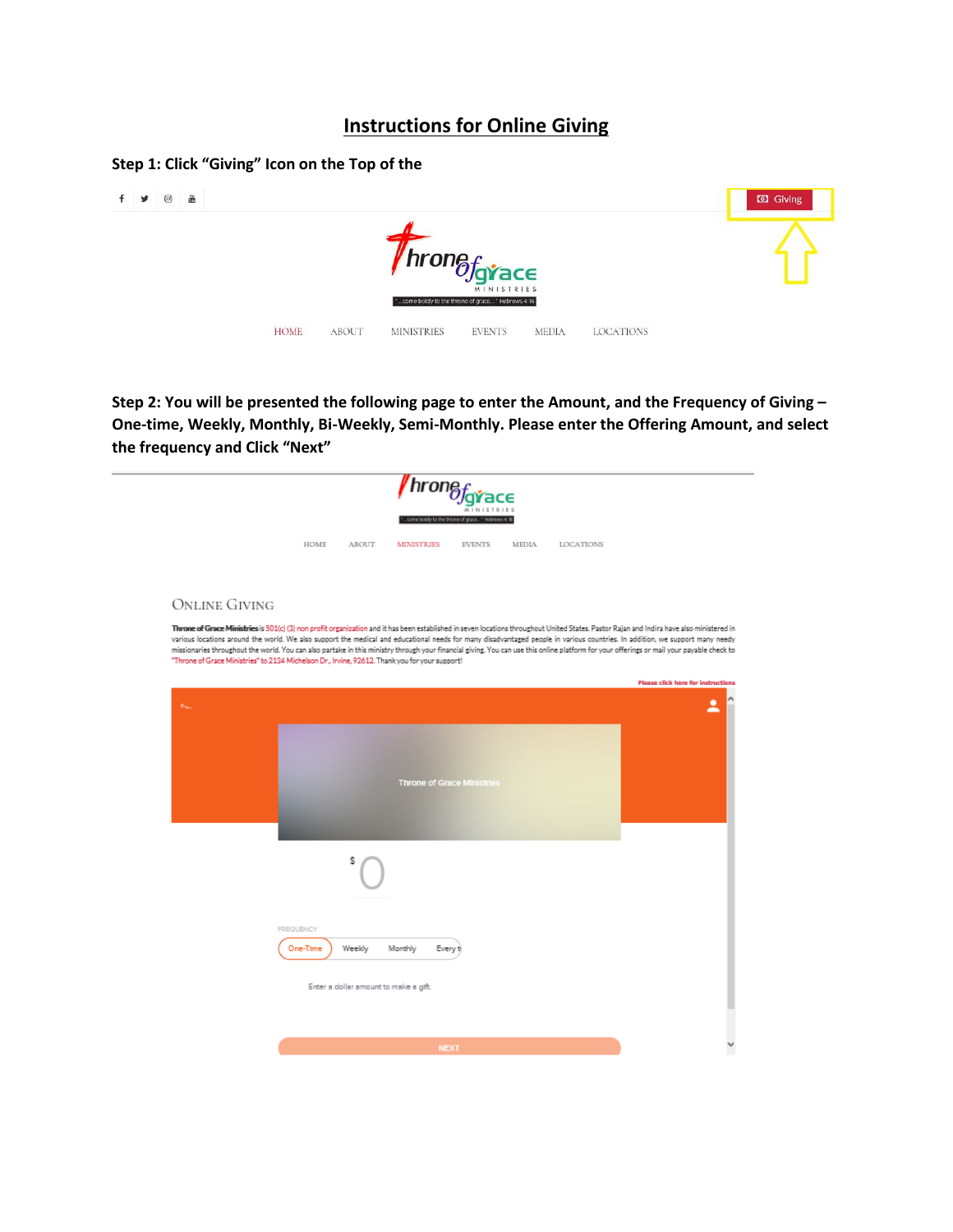## **Instructions for Online Giving**

## **Step 1: Click "Giving" Icon on the Top of the**



**Step 2: You will be presented the following page to enter the Amount, and the Frequency of Giving – One-time, Weekly, Monthly, Bi-Weekly, Semi-Monthly. Please enter the Offering Amount, and select the frequency and Click "Next"**

|                      | w boldy to the throne of grace " Hebrews 4:16                                                                                                                                                                                                                                                                                                                                                                                                                                                                                                                                                                                                                            |                                           |
|----------------------|--------------------------------------------------------------------------------------------------------------------------------------------------------------------------------------------------------------------------------------------------------------------------------------------------------------------------------------------------------------------------------------------------------------------------------------------------------------------------------------------------------------------------------------------------------------------------------------------------------------------------------------------------------------------------|-------------------------------------------|
|                      | HOME<br>ABOUT<br><b>MINISTRIES</b><br><b>EVENTS</b><br><b>MEDIA</b><br><b>LOCATIONS</b>                                                                                                                                                                                                                                                                                                                                                                                                                                                                                                                                                                                  |                                           |
| <b>ONLINE GIVING</b> |                                                                                                                                                                                                                                                                                                                                                                                                                                                                                                                                                                                                                                                                          |                                           |
|                      | Throne of Grace Ministries is 501(c) (3) non profit organization and it has been established in seven locations throughout United States. Pastor Rajan and Indira have also ministered in<br>various locations around the world. We also support the medical and educational needs for many disadvantaged people in various countries. In addition, we support many needy<br>missionaries throughout the world. You can also partake in this ministry through your financial giving. You can use this online platform for your offerings or mail your payable check to<br>"Throne of Grace Ministries" to 2134 Michelson Dr., Irvine, 92612. Thank you for your support! |                                           |
|                      |                                                                                                                                                                                                                                                                                                                                                                                                                                                                                                                                                                                                                                                                          | <b>Please click here for instructions</b> |
|                      | <b>Throne of Grace Ministries</b>                                                                                                                                                                                                                                                                                                                                                                                                                                                                                                                                                                                                                                        |                                           |
|                      |                                                                                                                                                                                                                                                                                                                                                                                                                                                                                                                                                                                                                                                                          |                                           |
|                      | <b>FREQUENCY</b><br>One-Time<br>Weekly<br>Monthly<br>Every t                                                                                                                                                                                                                                                                                                                                                                                                                                                                                                                                                                                                             |                                           |
|                      | Enter a clollar amount to make a gift.                                                                                                                                                                                                                                                                                                                                                                                                                                                                                                                                                                                                                                   |                                           |
|                      |                                                                                                                                                                                                                                                                                                                                                                                                                                                                                                                                                                                                                                                                          |                                           |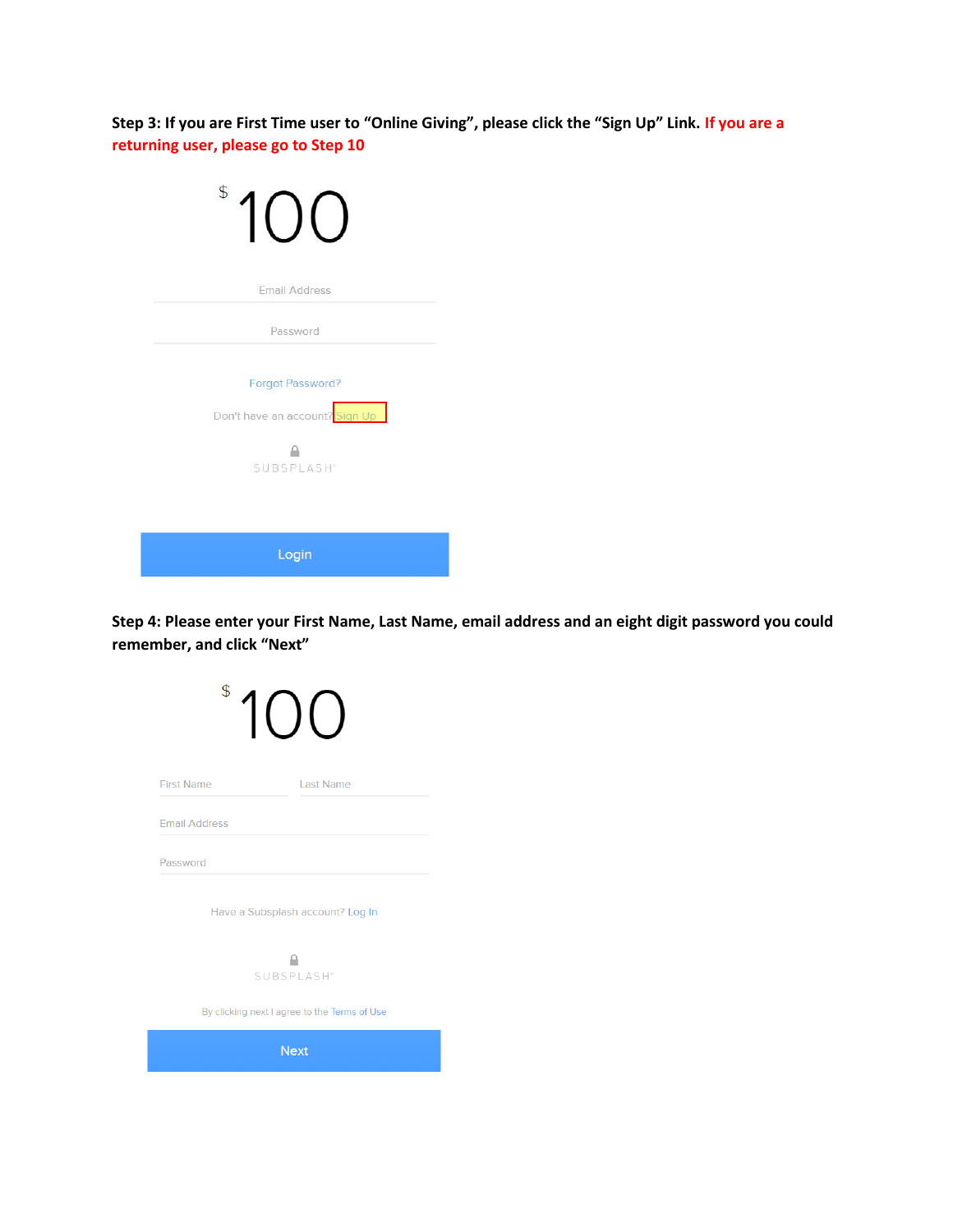**Step 3: If you are First Time user to "Online Giving", please click the "Sign Up" Link. If you are a returning user, please go to Step 10**

| $\mathcal{S}$                                            |
|----------------------------------------------------------|
| <b>Email Address</b>                                     |
| Password                                                 |
| <b>Forgot Password?</b>                                  |
| Don't have an account? Sign Up<br>SUBSPLASH <sup>®</sup> |
|                                                          |
| Login                                                    |

**Step 4: Please enter your First Name, Last Name, email address and an eight digit password you could remember, and click "Next"**

| \$                   |                                              |
|----------------------|----------------------------------------------|
| <b>First Name</b>    | <b>Last Name</b>                             |
| <b>Email Address</b> |                                              |
| Password             |                                              |
|                      | Have a Subsplash account? Log In             |
|                      | SUBSPLASH <sup>®</sup>                       |
|                      | By clicking next I agree to the Terms of Use |
|                      | <b>Next</b>                                  |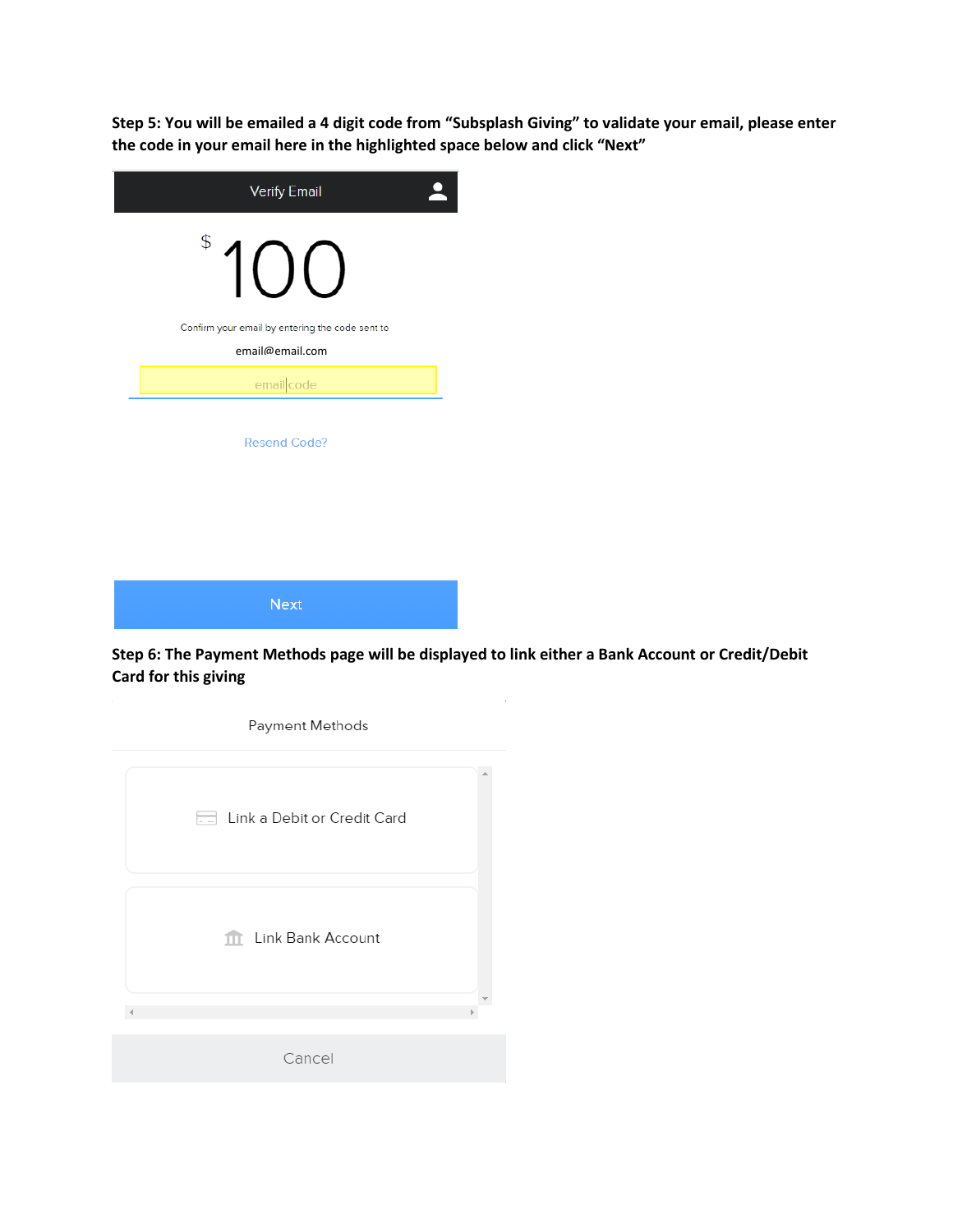**Step 5: You will be emailed a 4 digit code from "Subsplash Giving" to validate your email, please enter the code in your email here in the highlighted space below and click "Next"**

| <b>Verify Email</b>                                                |  |
|--------------------------------------------------------------------|--|
| \$<br>1()()                                                        |  |
| Confirm your email by entering the code sent to<br>email@email.com |  |
| emailcode                                                          |  |
| <b>Resend Code?</b>                                                |  |
|                                                                    |  |
| Next                                                               |  |

**Step 6: The Payment Methods page will be displayed to link either a Bank Account or Credit/Debit Card for this giving**

 $\bar{z}$ 

| Payment Methods             |  |
|-----------------------------|--|
| Link a Debit or Credit Card |  |
| <b>11</b> Link Bank Account |  |
| Cancel                      |  |
|                             |  |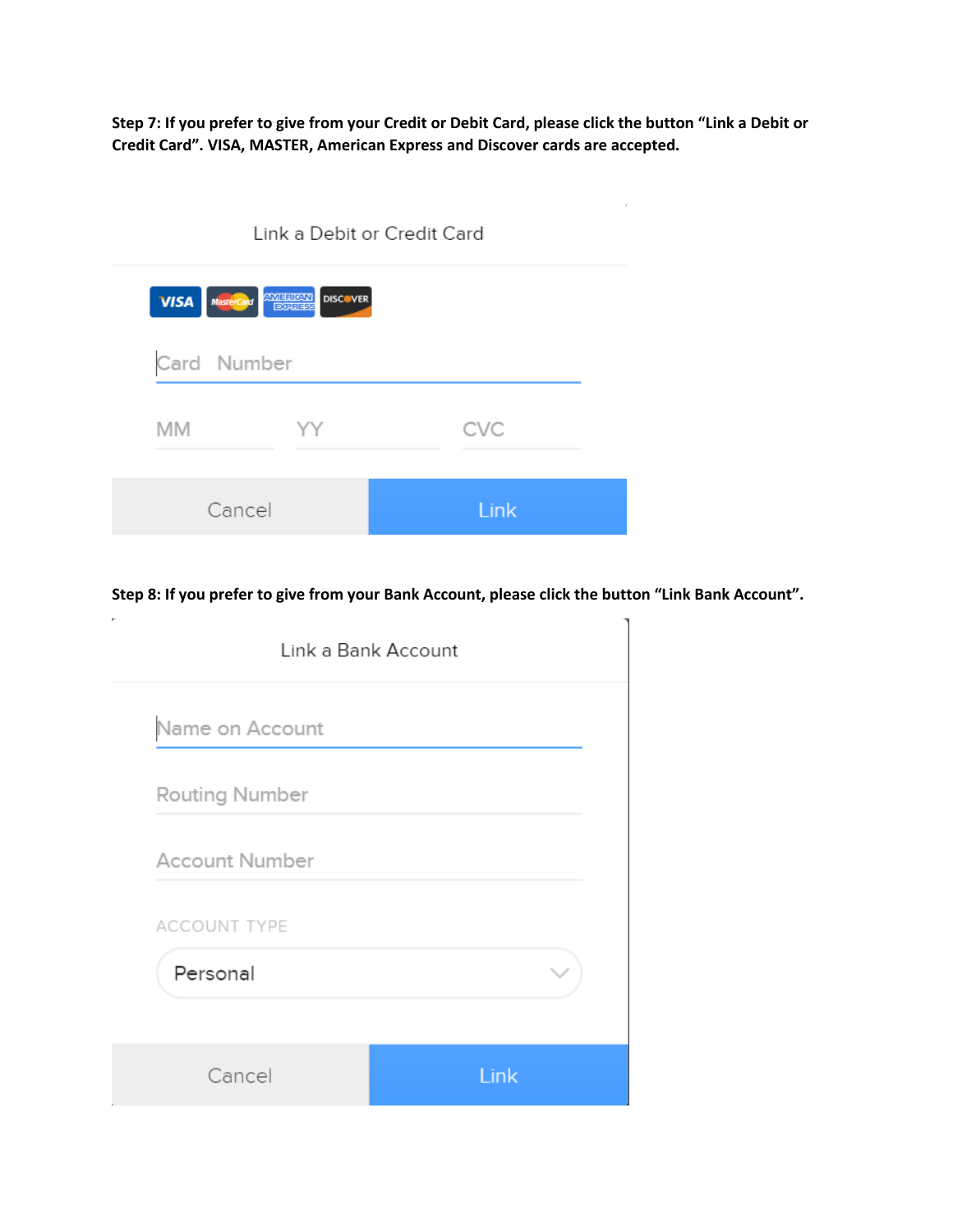**Step 7: If you prefer to give from your Credit or Debit Card, please click the button "Link a Debit or Credit Card". VISA, MASTER, American Express and Discover cards are accepted.**

|                                         | Link a Debit or Credit Card |            |  |
|-----------------------------------------|-----------------------------|------------|--|
| <b>VISA</b> MasterCard <b>ANTERIORN</b> | <b>DISCOVER</b>             |            |  |
|                                         |                             |            |  |
| Card Number                             |                             |            |  |
| <b>MM</b>                               | ΥY                          | <b>CVC</b> |  |

×.

**Step 8: If you prefer to give from your Bank Account, please click the button "Link Bank Account".**

|                       | Link a Bank Account |
|-----------------------|---------------------|
| Name on Account       |                     |
| Routing Number        |                     |
| <b>Account Number</b> |                     |
| <b>ACCOUNT TYPE</b>   |                     |
| Personal              |                     |
| Cancel                | Link                |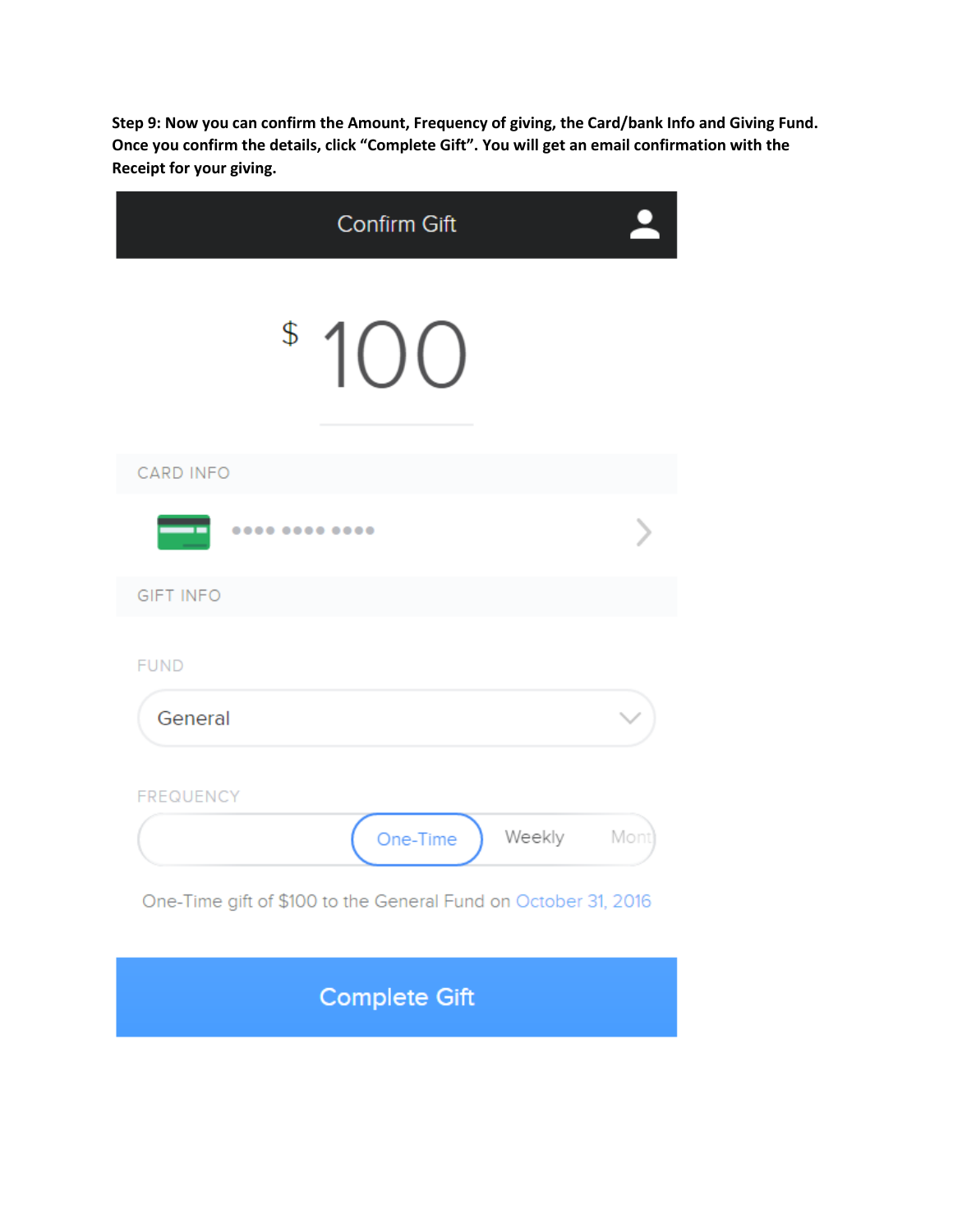**Step 9: Now you can confirm the Amount, Frequency of giving, the Card/bank Info and Giving Fund. Once you confirm the details, click "Complete Gift". You will get an email confirmation with the Receipt for your giving.**

| <b>Confirm Gift</b>                                                                                      |      |
|----------------------------------------------------------------------------------------------------------|------|
| \$100                                                                                                    |      |
| <b>CARD INFO</b>                                                                                         |      |
|                                                                                                          |      |
| <b>GIFT INFO</b>                                                                                         |      |
| <b>FUND</b>                                                                                              |      |
| General                                                                                                  |      |
| <b>FREQUENCY</b><br>Weekly<br>One-Time<br>One-Time gift of \$100 to the General Fund on October 31, 2016 | Mont |
| <b>Complete Gift</b>                                                                                     |      |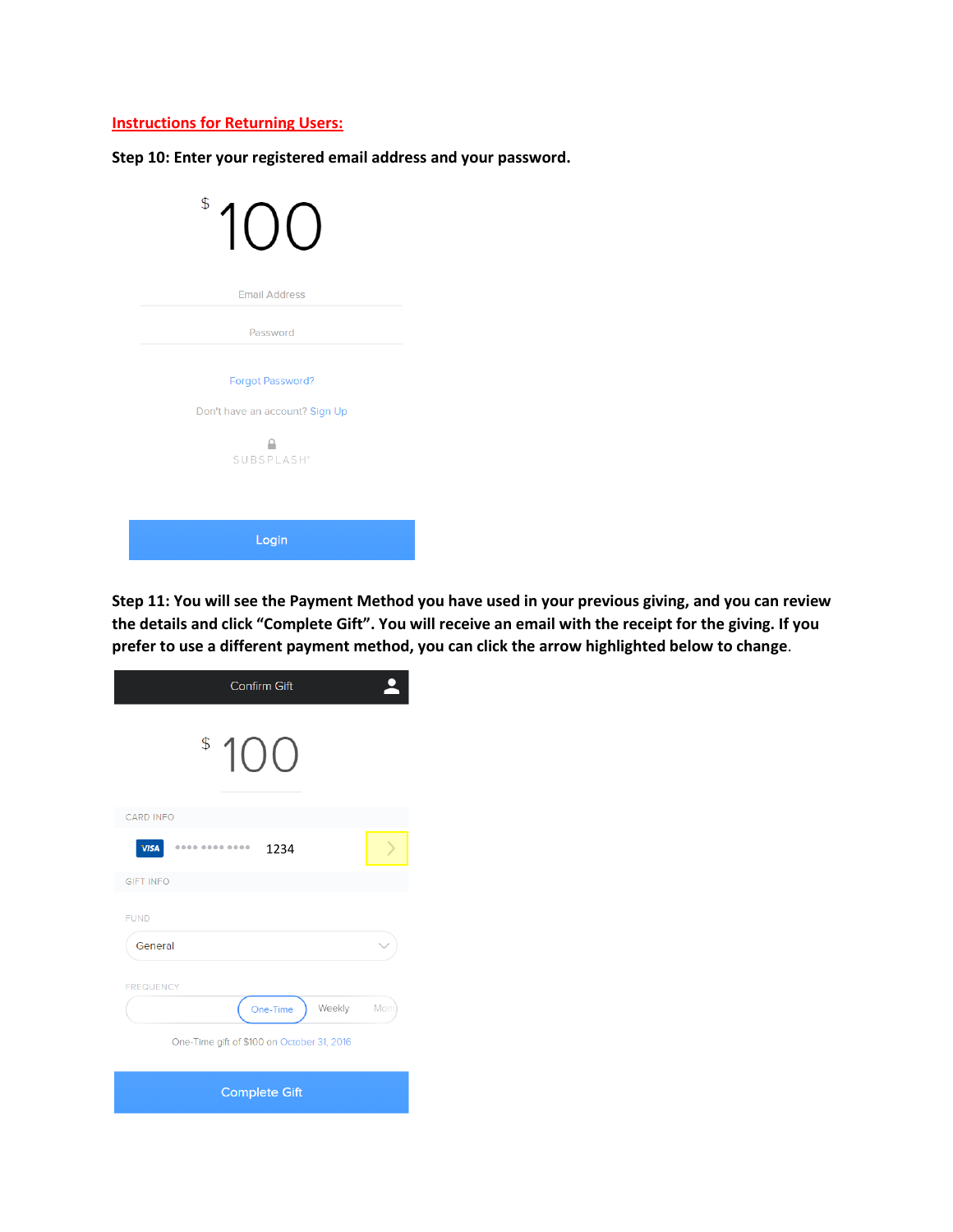## **Instructions for Returning Users:**

**Step 10: Enter your registered email address and your password.**

| $\frac{1}{2}$<br>$\overline{\phantom{a}}$ |  |
|-------------------------------------------|--|
| <b>Email Address</b>                      |  |
| Password                                  |  |
| <b>Forgot Password?</b>                   |  |
| Don't have an account? Sign Up            |  |
| SUBSPLASH <sup>®</sup>                    |  |
|                                           |  |
| Login                                     |  |

**Step 11: You will see the Payment Method you have used in your previous giving, and you can review the details and click "Complete Gift". You will receive an email with the receipt for the giving. If you prefer to use a different payment method, you can click the arrow highlighted below to change**.

| <b>Confirm Gift</b>                        |      |
|--------------------------------------------|------|
| \$100                                      |      |
| <b>CARD INFO</b>                           |      |
| <b>VISA</b><br><br>1234                    |      |
| <b>GIFT INFO</b>                           |      |
| <b>FUND</b>                                |      |
| General                                    |      |
| <b>FREQUENCY</b>                           |      |
| One-Time<br>Weekly                         | Mont |
| One-Time gift of \$100 on October 31, 2016 |      |
| <b>Complete Gift</b>                       |      |